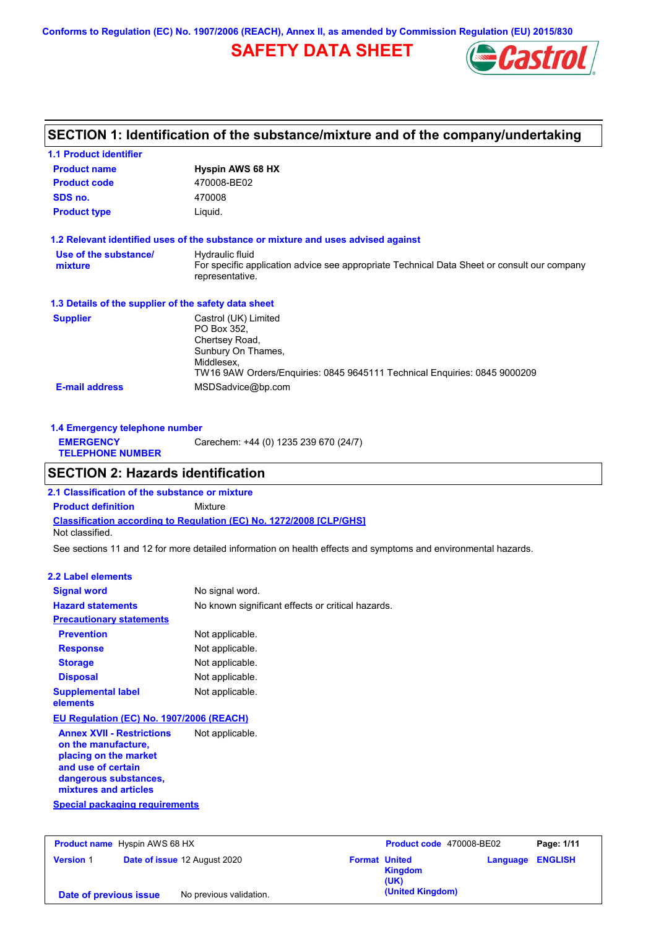**Conforms to Regulation (EC) No. 1907/2006 (REACH), Annex II, as amended by Commission Regulation (EU) 2015/830**

# **SAFETY DATA SHEET**



# **SECTION 1: Identification of the substance/mixture and of the company/undertaking**

| <b>1.1 Product identifier</b>                        |                                                                                                                |
|------------------------------------------------------|----------------------------------------------------------------------------------------------------------------|
| <b>Product name</b>                                  | <b>Hyspin AWS 68 HX</b>                                                                                        |
| <b>Product code</b>                                  | 470008-BE02                                                                                                    |
| SDS no.                                              | 470008                                                                                                         |
| <b>Product type</b>                                  | Liquid.                                                                                                        |
|                                                      | 1.2 Relevant identified uses of the substance or mixture and uses advised against                              |
| Use of the substance/                                | Hydraulic fluid                                                                                                |
| mixture                                              | For specific application advice see appropriate Technical Data Sheet or consult our company<br>representative. |
| 1.3 Details of the supplier of the safety data sheet |                                                                                                                |
| <b>Supplier</b>                                      | Castrol (UK) Limited                                                                                           |
|                                                      | PO Box 352.                                                                                                    |
|                                                      | Chertsey Road,                                                                                                 |
|                                                      | Sunbury On Thames,<br>Middlesex,                                                                               |
|                                                      | TW16 9AW Orders/Enguiries: 0845 9645111 Technical Enguiries: 0845 9000209                                      |
| <b>E-mail address</b>                                | MSDSadvice@bp.com                                                                                              |

| 1.4 Emergency telephone number              |                                       |  |  |  |
|---------------------------------------------|---------------------------------------|--|--|--|
| <b>EMERGENCY</b><br><b>TELEPHONE NUMBER</b> | Carechem: +44 (0) 1235 239 670 (24/7) |  |  |  |

## **SECTION 2: Hazards identification**

**Classification according to Regulation (EC) No. 1272/2008 [CLP/GHS] 2.1 Classification of the substance or mixture Product definition** Mixture Not classified.

See sections 11 and 12 for more detailed information on health effects and symptoms and environmental hazards.

## **2.2 Label elements**

| <b>Signal word</b>                                                                                                                                       | No signal word.                                   |  |  |
|----------------------------------------------------------------------------------------------------------------------------------------------------------|---------------------------------------------------|--|--|
| <b>Hazard statements</b>                                                                                                                                 | No known significant effects or critical hazards. |  |  |
| <b>Precautionary statements</b>                                                                                                                          |                                                   |  |  |
| <b>Prevention</b>                                                                                                                                        | Not applicable.                                   |  |  |
| <b>Response</b>                                                                                                                                          | Not applicable.                                   |  |  |
| <b>Storage</b>                                                                                                                                           | Not applicable.                                   |  |  |
| <b>Disposal</b>                                                                                                                                          | Not applicable.                                   |  |  |
| <b>Supplemental label</b><br>elements                                                                                                                    | Not applicable.                                   |  |  |
| EU Regulation (EC) No. 1907/2006 (REACH)                                                                                                                 |                                                   |  |  |
| <b>Annex XVII - Restrictions</b><br>on the manufacture,<br>placing on the market<br>and use of certain<br>dangerous substances,<br>mixtures and articles | Not applicable.                                   |  |  |
| <b>Special packaging requirements</b>                                                                                                                    |                                                   |  |  |

| <b>Product name</b> Hyspin AWS 68 HX |  |                              | Product code 470008-BE02 |                                         | Page: 1/11              |  |
|--------------------------------------|--|------------------------------|--------------------------|-----------------------------------------|-------------------------|--|
| <b>Version 1</b>                     |  | Date of issue 12 August 2020 |                          | <b>Format United</b><br>Kingdom<br>(UK) | <b>Language ENGLISH</b> |  |
| Date of previous issue               |  | No previous validation.      |                          | (United Kingdom)                        |                         |  |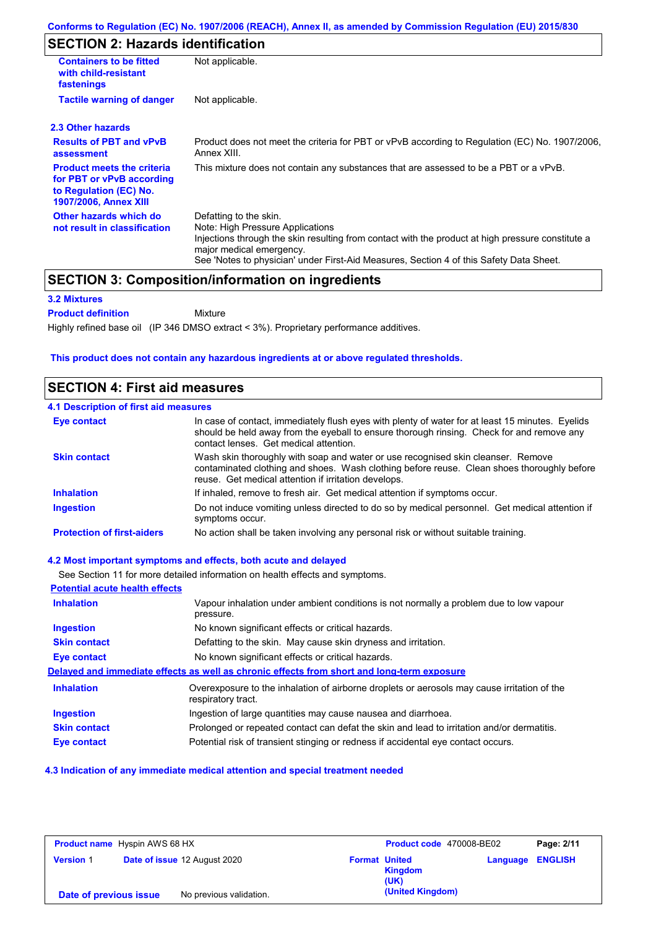# **SECTION 2: Hazards identification**

| <b>Containers to be fitted</b><br>with child-resistant<br>fastenings                                                                                                                                                                                                                                                                             | Not applicable.                                                                       |  |  |  |
|--------------------------------------------------------------------------------------------------------------------------------------------------------------------------------------------------------------------------------------------------------------------------------------------------------------------------------------------------|---------------------------------------------------------------------------------------|--|--|--|
| <b>Tactile warning of danger</b>                                                                                                                                                                                                                                                                                                                 | Not applicable.                                                                       |  |  |  |
| 2.3 Other hazards                                                                                                                                                                                                                                                                                                                                |                                                                                       |  |  |  |
| <b>Results of PBT and vPvB</b><br>Product does not meet the criteria for PBT or vPvB according to Regulation (EC) No. 1907/2006,<br>Annex XIII.<br>assessment                                                                                                                                                                                    |                                                                                       |  |  |  |
| <b>Product meets the criteria</b><br>for PBT or vPvB according<br>to Regulation (EC) No.<br><b>1907/2006, Annex XIII</b>                                                                                                                                                                                                                         | This mixture does not contain any substances that are assessed to be a PBT or a vPvB. |  |  |  |
| Other hazards which do<br>Defatting to the skin.<br>Note: High Pressure Applications<br>not result in classification<br>Injections through the skin resulting from contact with the product at high pressure constitute a<br>major medical emergency.<br>See 'Notes to physician' under First-Aid Measures, Section 4 of this Safety Data Sheet. |                                                                                       |  |  |  |

## **SECTION 3: Composition/information on ingredients**

Mixture

## **3.2 Mixtures**

**Product definition**

Highly refined base oil (IP 346 DMSO extract < 3%). Proprietary performance additives.

## **This product does not contain any hazardous ingredients at or above regulated thresholds.**

## **SECTION 4: First aid measures**

| 4.1 Description of first aid measures |                                                                                                                                                                                                                                         |
|---------------------------------------|-----------------------------------------------------------------------------------------------------------------------------------------------------------------------------------------------------------------------------------------|
| <b>Eye contact</b>                    | In case of contact, immediately flush eyes with plenty of water for at least 15 minutes. Eyelids<br>should be held away from the eyeball to ensure thorough rinsing. Check for and remove any<br>contact lenses. Get medical attention. |
| <b>Skin contact</b>                   | Wash skin thoroughly with soap and water or use recognised skin cleanser. Remove<br>contaminated clothing and shoes. Wash clothing before reuse. Clean shoes thoroughly before<br>reuse. Get medical attention if irritation develops.  |
| <b>Inhalation</b>                     | If inhaled, remove to fresh air. Get medical attention if symptoms occur.                                                                                                                                                               |
| <b>Ingestion</b>                      | Do not induce vomiting unless directed to do so by medical personnel. Get medical attention if<br>symptoms occur.                                                                                                                       |
| <b>Protection of first-aiders</b>     | No action shall be taken involving any personal risk or without suitable training.                                                                                                                                                      |

### **4.2 Most important symptoms and effects, both acute and delayed**

See Section 11 for more detailed information on health effects and symptoms. **Potential acute health effects Inhalation** Vapour inhalation under ambient conditions is not normally a problem due to low vapour pressure. **Ingestion** No known significant effects or critical hazards. **Skin contact** Defatting to the skin. May cause skin dryness and irritation. **Eye contact** No known significant effects or critical hazards. **Delayed and immediate effects as well as chronic effects from short and long-term exposure Inhalation Ingestion Skin contact Eye contact** Overexposure to the inhalation of airborne droplets or aerosols may cause irritation of the respiratory tract. Ingestion of large quantities may cause nausea and diarrhoea. Prolonged or repeated contact can defat the skin and lead to irritation and/or dermatitis. Potential risk of transient stinging or redness if accidental eye contact occurs.

#### **4.3 Indication of any immediate medical attention and special treatment needed**

| <b>Product name</b> Hyspin AWS 68 HX |                              | Product code 470008-BE02 |                      | Page: 2/11             |          |                |
|--------------------------------------|------------------------------|--------------------------|----------------------|------------------------|----------|----------------|
| <b>Version 1</b>                     | Date of issue 12 August 2020 |                          | <b>Format United</b> | <b>Kingdom</b><br>(UK) | Language | <b>ENGLISH</b> |
| Date of previous issue               |                              | No previous validation.  |                      | (United Kingdom)       |          |                |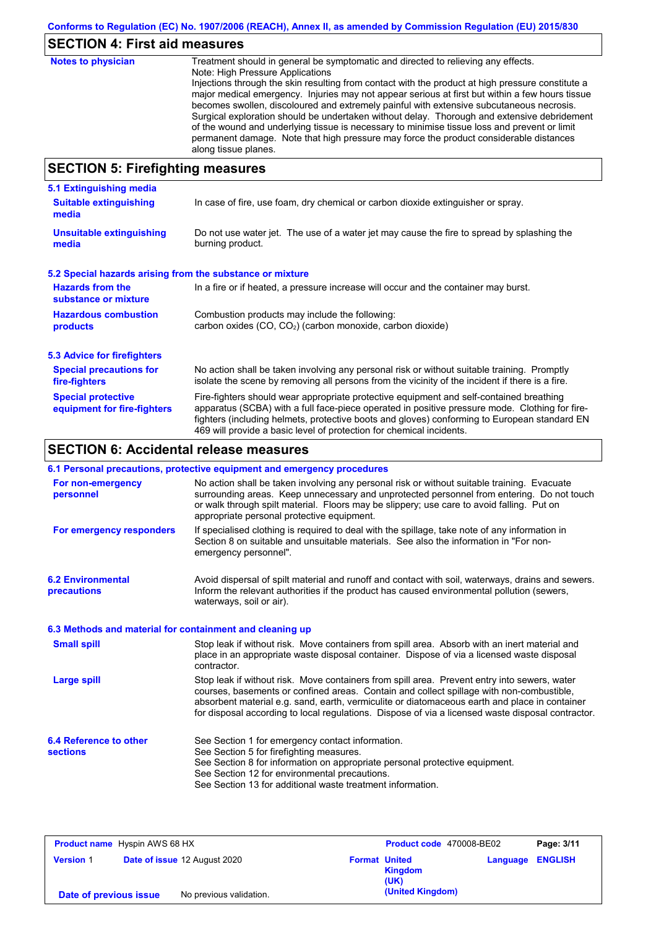# **SECTION 4: First aid measures**

| <b>Notes to physician</b>          | Treatment should in general be symptomatic and directed to relieving any effects.<br>Note: High Pressure Applications<br>Injections through the skin resulting from contact with the product at high pressure constitute a<br>major medical emergency. Injuries may not appear serious at first but within a few hours tissue<br>becomes swollen, discoloured and extremely painful with extensive subcutaneous necrosis.<br>Surgical exploration should be undertaken without delay. Thorough and extensive debridement<br>of the wound and underlying tissue is necessary to minimise tissue loss and prevent or limit<br>permanent damage. Note that high pressure may force the product considerable distances<br>along tissue planes. |
|------------------------------------|--------------------------------------------------------------------------------------------------------------------------------------------------------------------------------------------------------------------------------------------------------------------------------------------------------------------------------------------------------------------------------------------------------------------------------------------------------------------------------------------------------------------------------------------------------------------------------------------------------------------------------------------------------------------------------------------------------------------------------------------|
| CECTION E. Einefinkting measonings |                                                                                                                                                                                                                                                                                                                                                                                                                                                                                                                                                                                                                                                                                                                                            |

## **SECTION 5: Firefighting measures**

| 5.1 Extinguishing media                                                                                                                                                                                                                                                                                                                                                                                                       |                                                                                                                          |  |  |  |
|-------------------------------------------------------------------------------------------------------------------------------------------------------------------------------------------------------------------------------------------------------------------------------------------------------------------------------------------------------------------------------------------------------------------------------|--------------------------------------------------------------------------------------------------------------------------|--|--|--|
| <b>Suitable extinguishing</b><br>media                                                                                                                                                                                                                                                                                                                                                                                        | In case of fire, use foam, dry chemical or carbon dioxide extinguisher or spray.                                         |  |  |  |
| <b>Unsuitable extinguishing</b><br>media                                                                                                                                                                                                                                                                                                                                                                                      | Do not use water jet. The use of a water jet may cause the fire to spread by splashing the<br>burning product.           |  |  |  |
| 5.2 Special hazards arising from the substance or mixture                                                                                                                                                                                                                                                                                                                                                                     |                                                                                                                          |  |  |  |
| <b>Hazards from the</b><br>substance or mixture                                                                                                                                                                                                                                                                                                                                                                               | In a fire or if heated, a pressure increase will occur and the container may burst.                                      |  |  |  |
| <b>Hazardous combustion</b>                                                                                                                                                                                                                                                                                                                                                                                                   | Combustion products may include the following:<br>carbon oxides (CO, CO <sub>2</sub> ) (carbon monoxide, carbon dioxide) |  |  |  |
| products                                                                                                                                                                                                                                                                                                                                                                                                                      |                                                                                                                          |  |  |  |
| 5.3 Advice for firefighters                                                                                                                                                                                                                                                                                                                                                                                                   |                                                                                                                          |  |  |  |
| <b>Special precautions for</b><br>No action shall be taken involving any personal risk or without suitable training. Promptly<br>isolate the scene by removing all persons from the vicinity of the incident if there is a fire.<br>fire-fighters                                                                                                                                                                             |                                                                                                                          |  |  |  |
| <b>Special protective</b><br>Fire-fighters should wear appropriate protective equipment and self-contained breathing<br>apparatus (SCBA) with a full face-piece operated in positive pressure mode. Clothing for fire-<br>equipment for fire-fighters<br>fighters (including helmets, protective boots and gloves) conforming to European standard EN<br>469 will provide a basic level of protection for chemical incidents. |                                                                                                                          |  |  |  |

# **SECTION 6: Accidental release measures**

|                                                          | 6.1 Personal precautions, protective equipment and emergency procedures                                                                                                                                                                                                                                                                                                                        |
|----------------------------------------------------------|------------------------------------------------------------------------------------------------------------------------------------------------------------------------------------------------------------------------------------------------------------------------------------------------------------------------------------------------------------------------------------------------|
| For non-emergency<br>personnel                           | No action shall be taken involving any personal risk or without suitable training. Evacuate<br>surrounding areas. Keep unnecessary and unprotected personnel from entering. Do not touch<br>or walk through spilt material. Floors may be slippery; use care to avoid falling. Put on<br>appropriate personal protective equipment.                                                            |
| For emergency responders                                 | If specialised clothing is required to deal with the spillage, take note of any information in<br>Section 8 on suitable and unsuitable materials. See also the information in "For non-<br>emergency personnel".                                                                                                                                                                               |
| <b>6.2 Environmental</b><br>precautions                  | Avoid dispersal of spilt material and runoff and contact with soil, waterways, drains and sewers.<br>Inform the relevant authorities if the product has caused environmental pollution (sewers,<br>waterways, soil or air).                                                                                                                                                                    |
| 6.3 Methods and material for containment and cleaning up |                                                                                                                                                                                                                                                                                                                                                                                                |
| <b>Small spill</b>                                       | Stop leak if without risk. Move containers from spill area. Absorb with an inert material and<br>place in an appropriate waste disposal container. Dispose of via a licensed waste disposal<br>contractor.                                                                                                                                                                                     |
| <b>Large spill</b>                                       | Stop leak if without risk. Move containers from spill area. Prevent entry into sewers, water<br>courses, basements or confined areas. Contain and collect spillage with non-combustible,<br>absorbent material e.g. sand, earth, vermiculite or diatomaceous earth and place in container<br>for disposal according to local regulations. Dispose of via a licensed waste disposal contractor. |
| 6.4 Reference to other<br><b>sections</b>                | See Section 1 for emergency contact information.<br>See Section 5 for firefighting measures.<br>See Section 8 for information on appropriate personal protective equipment.<br>See Section 12 for environmental precautions.<br>See Section 13 for additional waste treatment information.                                                                                                     |

| <b>Product name</b> Hyspin AWS 68 HX |  |                              | Product code 470008-BE02 |                  | Page: 3/11 |                |
|--------------------------------------|--|------------------------------|--------------------------|------------------|------------|----------------|
| <b>Version 1</b>                     |  | Date of issue 12 August 2020 | <b>Format United</b>     | Kingdom<br>(UK)  | Language   | <b>ENGLISH</b> |
| Date of previous issue               |  | No previous validation.      |                          | (United Kingdom) |            |                |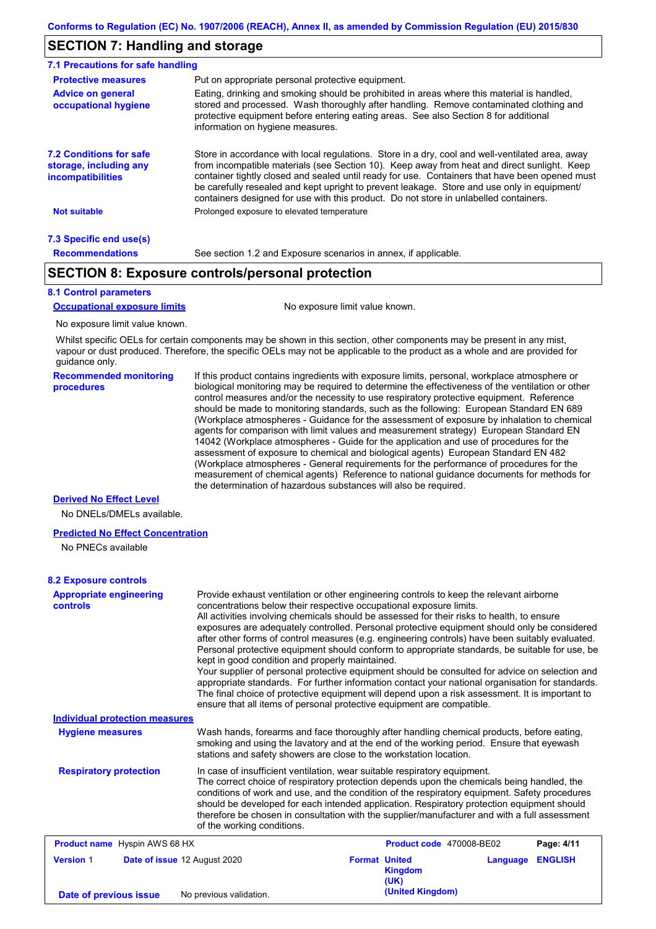## **SECTION 7: Handling and storage**

| 7.1 Precautions for safe handling                                                    |                                                                                                                                                                                                                                                                                                                                                                                                                                                                                          |  |  |  |
|--------------------------------------------------------------------------------------|------------------------------------------------------------------------------------------------------------------------------------------------------------------------------------------------------------------------------------------------------------------------------------------------------------------------------------------------------------------------------------------------------------------------------------------------------------------------------------------|--|--|--|
| <b>Protective measures</b>                                                           | Put on appropriate personal protective equipment.                                                                                                                                                                                                                                                                                                                                                                                                                                        |  |  |  |
| <b>Advice on general</b><br>occupational hygiene                                     | Eating, drinking and smoking should be prohibited in areas where this material is handled.<br>stored and processed. Wash thoroughly after handling. Remove contaminated clothing and<br>protective equipment before entering eating areas. See also Section 8 for additional<br>information on hygiene measures.                                                                                                                                                                         |  |  |  |
| <b>7.2 Conditions for safe</b><br>storage, including any<br><i>incompatibilities</i> | Store in accordance with local regulations. Store in a dry, cool and well-ventilated area, away<br>from incompatible materials (see Section 10). Keep away from heat and direct sunlight. Keep<br>container tightly closed and sealed until ready for use. Containers that have been opened must<br>be carefully resealed and kept upright to prevent leakage. Store and use only in equipment/<br>containers designed for use with this product. Do not store in unlabelled containers. |  |  |  |
| <b>Not suitable</b>                                                                  | Prolonged exposure to elevated temperature                                                                                                                                                                                                                                                                                                                                                                                                                                               |  |  |  |
| 7.3 Specific end use(s)                                                              |                                                                                                                                                                                                                                                                                                                                                                                                                                                                                          |  |  |  |
| <b>Recommendations</b>                                                               | See section 1.2 and Exposure scenarios in annex, if applicable.                                                                                                                                                                                                                                                                                                                                                                                                                          |  |  |  |

## **SECTION 8: Exposure controls/personal protection**

### **8.1 Control parameters**

**Occupational exposure limits** No exposure limit value known.

No exposure limit value known.

Whilst specific OELs for certain components may be shown in this section, other components may be present in any mist, vapour or dust produced. Therefore, the specific OELs may not be applicable to the product as a whole and are provided for guidance only.

**Recommended monitoring procedures** If this product contains ingredients with exposure limits, personal, workplace atmosphere or biological monitoring may be required to determine the effectiveness of the ventilation or other control measures and/or the necessity to use respiratory protective equipment. Reference should be made to monitoring standards, such as the following: European Standard EN 689 (Workplace atmospheres - Guidance for the assessment of exposure by inhalation to chemical agents for comparison with limit values and measurement strategy) European Standard EN 14042 (Workplace atmospheres - Guide for the application and use of procedures for the assessment of exposure to chemical and biological agents) European Standard EN 482 (Workplace atmospheres - General requirements for the performance of procedures for the measurement of chemical agents) Reference to national guidance documents for methods for the determination of hazardous substances will also be required.

### **Derived No Effect Level**

No DNELs/DMELs available.

#### **Predicted No Effect Concentration**

No PNECs available

### **8.2 Exposure controls**

| <b>Appropriate engineering</b><br><b>controls</b><br>kept in good condition and properly maintained.<br><b>Individual protection measures</b> |                                                                                                                                                                                                                                                                                                                                                                                                                                                                                                       |                      | Provide exhaust ventilation or other engineering controls to keep the relevant airborne<br>concentrations below their respective occupational exposure limits.<br>All activities involving chemicals should be assessed for their risks to health, to ensure<br>exposures are adequately controlled. Personal protective equipment should only be considered<br>after other forms of control measures (e.g. engineering controls) have been suitably evaluated.<br>Personal protective equipment should conform to appropriate standards, be suitable for use, be<br>Your supplier of personal protective equipment should be consulted for advice on selection and<br>appropriate standards. For further information contact your national organisation for standards.<br>The final choice of protective equipment will depend upon a risk assessment. It is important to<br>ensure that all items of personal protective equipment are compatible. |          |                |  |
|-----------------------------------------------------------------------------------------------------------------------------------------------|-------------------------------------------------------------------------------------------------------------------------------------------------------------------------------------------------------------------------------------------------------------------------------------------------------------------------------------------------------------------------------------------------------------------------------------------------------------------------------------------------------|----------------------|------------------------------------------------------------------------------------------------------------------------------------------------------------------------------------------------------------------------------------------------------------------------------------------------------------------------------------------------------------------------------------------------------------------------------------------------------------------------------------------------------------------------------------------------------------------------------------------------------------------------------------------------------------------------------------------------------------------------------------------------------------------------------------------------------------------------------------------------------------------------------------------------------------------------------------------------------|----------|----------------|--|
| <b>Hygiene measures</b>                                                                                                                       | Wash hands, forearms and face thoroughly after handling chemical products, before eating,<br>smoking and using the lavatory and at the end of the working period. Ensure that eyewash<br>stations and safety showers are close to the workstation location.                                                                                                                                                                                                                                           |                      |                                                                                                                                                                                                                                                                                                                                                                                                                                                                                                                                                                                                                                                                                                                                                                                                                                                                                                                                                      |          |                |  |
| <b>Respiratory protection</b>                                                                                                                 | In case of insufficient ventilation, wear suitable respiratory equipment.<br>The correct choice of respiratory protection depends upon the chemicals being handled, the<br>conditions of work and use, and the condition of the respiratory equipment. Safety procedures<br>should be developed for each intended application. Respiratory protection equipment should<br>therefore be chosen in consultation with the supplier/manufacturer and with a full assessment<br>of the working conditions. |                      |                                                                                                                                                                                                                                                                                                                                                                                                                                                                                                                                                                                                                                                                                                                                                                                                                                                                                                                                                      |          |                |  |
| <b>Product name</b> Hyspin AWS 68 HX                                                                                                          |                                                                                                                                                                                                                                                                                                                                                                                                                                                                                                       |                      | Product code 470008-BE02                                                                                                                                                                                                                                                                                                                                                                                                                                                                                                                                                                                                                                                                                                                                                                                                                                                                                                                             |          | Page: 4/11     |  |
| <b>Version 1</b>                                                                                                                              | Date of issue 12 August 2020                                                                                                                                                                                                                                                                                                                                                                                                                                                                          | <b>Format United</b> | <b>Kingdom</b><br>(UK)                                                                                                                                                                                                                                                                                                                                                                                                                                                                                                                                                                                                                                                                                                                                                                                                                                                                                                                               | Language | <b>ENGLISH</b> |  |
| Date of previous issue                                                                                                                        | No previous validation.                                                                                                                                                                                                                                                                                                                                                                                                                                                                               |                      | (United Kingdom)                                                                                                                                                                                                                                                                                                                                                                                                                                                                                                                                                                                                                                                                                                                                                                                                                                                                                                                                     |          |                |  |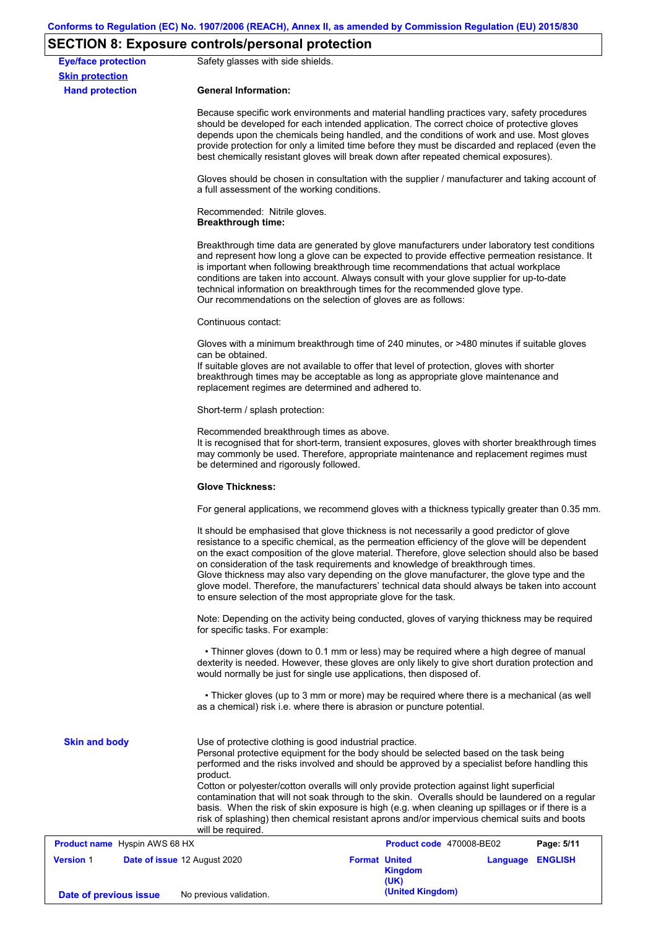# **SECTION 8: Exposure controls/personal protection**

| <b>Eye/face protection</b><br><b>Skin protection</b> | Safety glasses with side shields.                                                                                                                                                                                                                                    |                                                                                                                                                                                                                                                                                                                                                                                                                                                                                                                                                                                           |  |  |  |  |  |
|------------------------------------------------------|----------------------------------------------------------------------------------------------------------------------------------------------------------------------------------------------------------------------------------------------------------------------|-------------------------------------------------------------------------------------------------------------------------------------------------------------------------------------------------------------------------------------------------------------------------------------------------------------------------------------------------------------------------------------------------------------------------------------------------------------------------------------------------------------------------------------------------------------------------------------------|--|--|--|--|--|
| <b>Hand protection</b>                               | <b>General Information:</b>                                                                                                                                                                                                                                          |                                                                                                                                                                                                                                                                                                                                                                                                                                                                                                                                                                                           |  |  |  |  |  |
|                                                      |                                                                                                                                                                                                                                                                      | Because specific work environments and material handling practices vary, safety procedures<br>should be developed for each intended application. The correct choice of protective gloves<br>depends upon the chemicals being handled, and the conditions of work and use. Most gloves<br>provide protection for only a limited time before they must be discarded and replaced (even the<br>best chemically resistant gloves will break down after repeated chemical exposures).                                                                                                          |  |  |  |  |  |
|                                                      | a full assessment of the working conditions.                                                                                                                                                                                                                         | Gloves should be chosen in consultation with the supplier / manufacturer and taking account of                                                                                                                                                                                                                                                                                                                                                                                                                                                                                            |  |  |  |  |  |
|                                                      | Recommended: Nitrile gloves.<br><b>Breakthrough time:</b>                                                                                                                                                                                                            |                                                                                                                                                                                                                                                                                                                                                                                                                                                                                                                                                                                           |  |  |  |  |  |
|                                                      | Our recommendations on the selection of gloves are as follows:                                                                                                                                                                                                       | Breakthrough time data are generated by glove manufacturers under laboratory test conditions<br>and represent how long a glove can be expected to provide effective permeation resistance. It<br>is important when following breakthrough time recommendations that actual workplace<br>conditions are taken into account. Always consult with your glove supplier for up-to-date<br>technical information on breakthrough times for the recommended glove type.                                                                                                                          |  |  |  |  |  |
|                                                      | Continuous contact:                                                                                                                                                                                                                                                  |                                                                                                                                                                                                                                                                                                                                                                                                                                                                                                                                                                                           |  |  |  |  |  |
|                                                      | can be obtained.<br>replacement regimes are determined and adhered to.                                                                                                                                                                                               | Gloves with a minimum breakthrough time of 240 minutes, or >480 minutes if suitable gloves<br>If suitable gloves are not available to offer that level of protection, gloves with shorter<br>breakthrough times may be acceptable as long as appropriate glove maintenance and                                                                                                                                                                                                                                                                                                            |  |  |  |  |  |
|                                                      | Short-term / splash protection:                                                                                                                                                                                                                                      |                                                                                                                                                                                                                                                                                                                                                                                                                                                                                                                                                                                           |  |  |  |  |  |
|                                                      |                                                                                                                                                                                                                                                                      | Recommended breakthrough times as above.<br>It is recognised that for short-term, transient exposures, gloves with shorter breakthrough times<br>may commonly be used. Therefore, appropriate maintenance and replacement regimes must<br>be determined and rigorously followed.                                                                                                                                                                                                                                                                                                          |  |  |  |  |  |
|                                                      | <b>Glove Thickness:</b>                                                                                                                                                                                                                                              |                                                                                                                                                                                                                                                                                                                                                                                                                                                                                                                                                                                           |  |  |  |  |  |
|                                                      | For general applications, we recommend gloves with a thickness typically greater than 0.35 mm.                                                                                                                                                                       |                                                                                                                                                                                                                                                                                                                                                                                                                                                                                                                                                                                           |  |  |  |  |  |
|                                                      | to ensure selection of the most appropriate glove for the task.                                                                                                                                                                                                      | It should be emphasised that glove thickness is not necessarily a good predictor of glove<br>resistance to a specific chemical, as the permeation efficiency of the glove will be dependent<br>on the exact composition of the glove material. Therefore, glove selection should also be based<br>on consideration of the task requirements and knowledge of breakthrough times.<br>Glove thickness may also vary depending on the glove manufacturer, the glove type and the<br>glove model. Therefore, the manufacturers' technical data should always be taken into account            |  |  |  |  |  |
|                                                      | Note: Depending on the activity being conducted, gloves of varying thickness may be required<br>for specific tasks. For example:                                                                                                                                     |                                                                                                                                                                                                                                                                                                                                                                                                                                                                                                                                                                                           |  |  |  |  |  |
|                                                      | • Thinner gloves (down to 0.1 mm or less) may be required where a high degree of manual<br>dexterity is needed. However, these gloves are only likely to give short duration protection and<br>would normally be just for single use applications, then disposed of. |                                                                                                                                                                                                                                                                                                                                                                                                                                                                                                                                                                                           |  |  |  |  |  |
|                                                      | as a chemical) risk i.e. where there is abrasion or puncture potential.                                                                                                                                                                                              | • Thicker gloves (up to 3 mm or more) may be required where there is a mechanical (as well                                                                                                                                                                                                                                                                                                                                                                                                                                                                                                |  |  |  |  |  |
| <b>Skin and body</b>                                 | Use of protective clothing is good industrial practice.<br>product.                                                                                                                                                                                                  | Personal protective equipment for the body should be selected based on the task being<br>performed and the risks involved and should be approved by a specialist before handling this<br>Cotton or polyester/cotton overalls will only provide protection against light superficial<br>contamination that will not soak through to the skin. Overalls should be laundered on a regular<br>basis. When the risk of skin exposure is high (e.g. when cleaning up spillages or if there is a<br>risk of splashing) then chemical resistant aprons and/or impervious chemical suits and boots |  |  |  |  |  |
| Product name Hyspin AWS 68 HX                        | will be required.                                                                                                                                                                                                                                                    | Product code 470008-BE02<br>Page: 5/11                                                                                                                                                                                                                                                                                                                                                                                                                                                                                                                                                    |  |  |  |  |  |
| <b>Version 1</b>                                     | Date of issue 12 August 2020                                                                                                                                                                                                                                         | <b>Format United</b><br>Language ENGLISH<br><b>Kingdom</b><br>(UK)                                                                                                                                                                                                                                                                                                                                                                                                                                                                                                                        |  |  |  |  |  |
| Date of previous issue                               | No previous validation.                                                                                                                                                                                                                                              | (United Kingdom)                                                                                                                                                                                                                                                                                                                                                                                                                                                                                                                                                                          |  |  |  |  |  |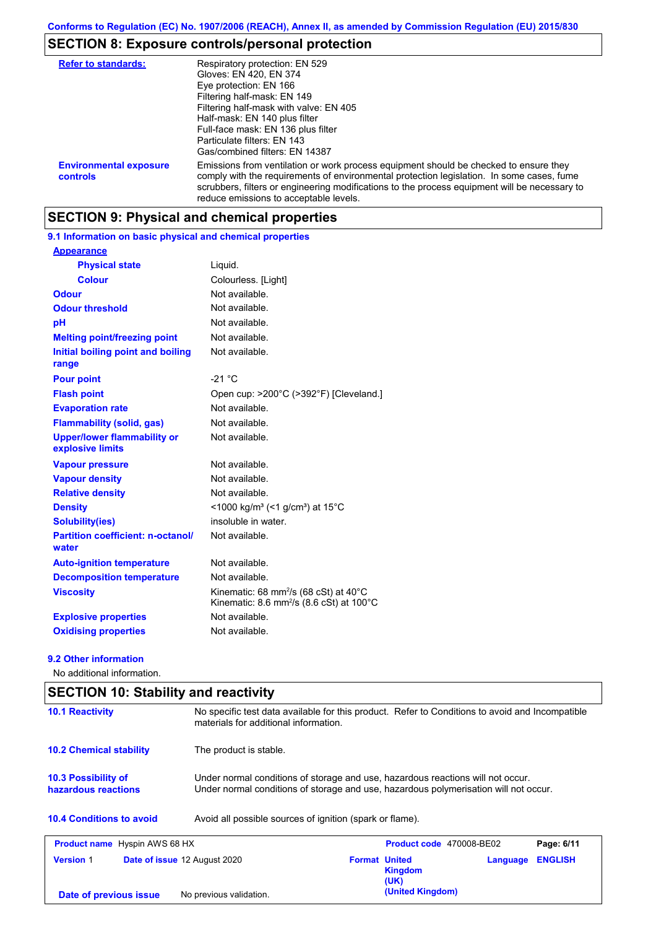# **SECTION 8: Exposure controls/personal protection**

| <b>Refer to standards:</b>                | Respiratory protection: EN 529<br>Gloves: EN 420, EN 374<br>Eye protection: EN 166<br>Filtering half-mask: EN 149<br>Filtering half-mask with valve: EN 405<br>Half-mask: EN 140 plus filter<br>Full-face mask: EN 136 plus filter<br>Particulate filters: EN 143<br>Gas/combined filters: EN 14387                           |
|-------------------------------------------|-------------------------------------------------------------------------------------------------------------------------------------------------------------------------------------------------------------------------------------------------------------------------------------------------------------------------------|
| <b>Environmental exposure</b><br>controls | Emissions from ventilation or work process equipment should be checked to ensure they<br>comply with the requirements of environmental protection legislation. In some cases, fume<br>scrubbers, filters or engineering modifications to the process equipment will be necessary to<br>reduce emissions to acceptable levels. |

# **SECTION 9: Physical and chemical properties**

## **9.1 Information on basic physical and chemical properties**

| <b>Appearance</b>                                      |                                                                                                                     |
|--------------------------------------------------------|---------------------------------------------------------------------------------------------------------------------|
| <b>Physical state</b>                                  | Liquid.                                                                                                             |
| <b>Colour</b>                                          | Colourless. [Light]                                                                                                 |
| <b>Odour</b>                                           | Not available.                                                                                                      |
| <b>Odour threshold</b>                                 | Not available.                                                                                                      |
| рH                                                     | Not available.                                                                                                      |
| <b>Melting point/freezing point</b>                    | Not available.                                                                                                      |
| Initial boiling point and boiling<br>range             | Not available.                                                                                                      |
| <b>Pour point</b>                                      | $-21 °C$                                                                                                            |
| <b>Flash point</b>                                     | Open cup: >200°C (>392°F) [Cleveland.]                                                                              |
| <b>Evaporation rate</b>                                | Not available.                                                                                                      |
| <b>Flammability (solid, gas)</b>                       | Not available.                                                                                                      |
| <b>Upper/lower flammability or</b><br>explosive limits | Not available.                                                                                                      |
| <b>Vapour pressure</b>                                 | Not available.                                                                                                      |
| <b>Vapour density</b>                                  | Not available.                                                                                                      |
| <b>Relative density</b>                                | Not available.                                                                                                      |
| <b>Density</b>                                         | <1000 kg/m <sup>3</sup> (<1 g/cm <sup>3</sup> ) at 15 <sup>°</sup> C                                                |
| <b>Solubility(ies)</b>                                 | insoluble in water.                                                                                                 |
| <b>Partition coefficient: n-octanol/</b><br>water      | Not available.                                                                                                      |
| <b>Auto-ignition temperature</b>                       | Not available.                                                                                                      |
| <b>Decomposition temperature</b>                       | Not available.                                                                                                      |
| <b>Viscosity</b>                                       | Kinematic: 68 mm <sup>2</sup> /s (68 cSt) at $40^{\circ}$ C<br>Kinematic: 8.6 mm <sup>2</sup> /s (8.6 cSt) at 100°C |
| <b>Explosive properties</b>                            | Not available.                                                                                                      |
| <b>Oxidising properties</b>                            | Not available.                                                                                                      |

### **9.2 Other information**

No additional information.

| <b>10.1 Reactivity</b>                            | No specific test data available for this product. Refer to Conditions to avoid and Incompatible<br>materials for additional information.                                                          |  |  |  |  |
|---------------------------------------------------|---------------------------------------------------------------------------------------------------------------------------------------------------------------------------------------------------|--|--|--|--|
| <b>10.2 Chemical stability</b>                    | The product is stable.<br>Under normal conditions of storage and use, hazardous reactions will not occur.<br>Under normal conditions of storage and use, hazardous polymerisation will not occur. |  |  |  |  |
| <b>10.3 Possibility of</b><br>hazardous reactions |                                                                                                                                                                                                   |  |  |  |  |
|                                                   |                                                                                                                                                                                                   |  |  |  |  |
| <b>10.4 Conditions to avoid</b>                   | Avoid all possible sources of ignition (spark or flame).                                                                                                                                          |  |  |  |  |
| <b>Product name</b> Hyspin AWS 68 HX              | Product code 470008-BE02<br>Page: 6/11                                                                                                                                                            |  |  |  |  |
| <b>Version 1</b>                                  | Date of issue 12 August 2020<br><b>Format United</b><br><b>ENGLISH</b><br>Language<br><b>Kingdom</b><br>(UK)                                                                                      |  |  |  |  |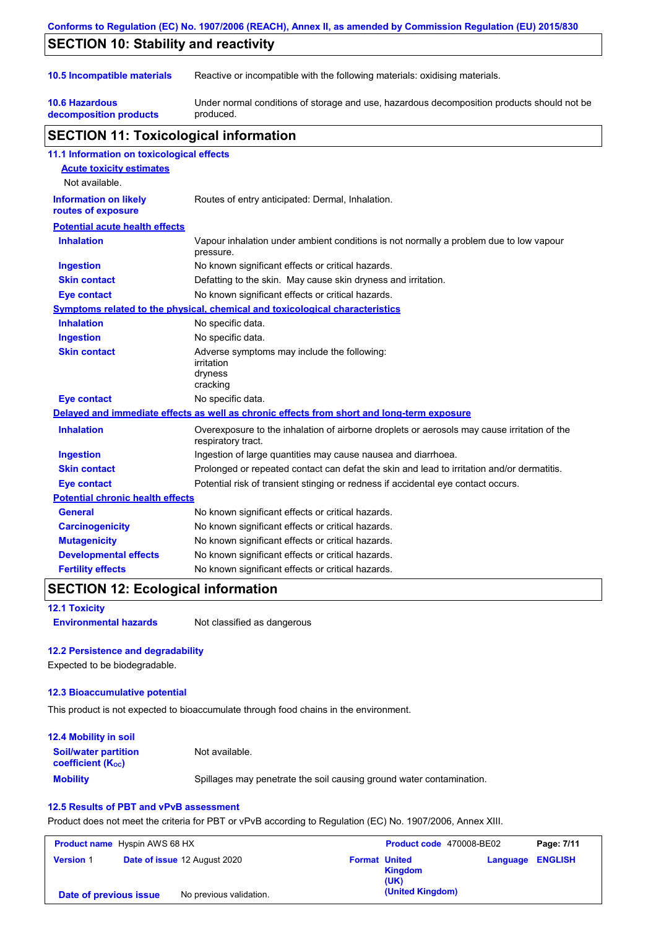| Conforms to Regulation (EC) No. 1907/2006 (REACH), Annex II, as amended by Commission Regulation (EU) 2015/830 |                                                                                                                   |  |  |  |
|----------------------------------------------------------------------------------------------------------------|-------------------------------------------------------------------------------------------------------------------|--|--|--|
| <b>SECTION 10: Stability and reactivity</b>                                                                    |                                                                                                                   |  |  |  |
| 10.5 Incompatible materials                                                                                    | Reactive or incompatible with the following materials: oxidising materials.                                       |  |  |  |
| <b>10.6 Hazardous</b><br>decomposition products                                                                | Under normal conditions of storage and use, hazardous decomposition products should not be<br>produced.           |  |  |  |
| <b>SECTION 11: Toxicological information</b>                                                                   |                                                                                                                   |  |  |  |
| 11.1 Information on toxicological effects                                                                      |                                                                                                                   |  |  |  |
| <b>Acute toxicity estimates</b><br>Not available.                                                              |                                                                                                                   |  |  |  |
| <b>Information on likely</b><br>routes of exposure                                                             | Routes of entry anticipated: Dermal, Inhalation.                                                                  |  |  |  |
| <b>Potential acute health effects</b>                                                                          |                                                                                                                   |  |  |  |
| <b>Inhalation</b>                                                                                              | Vapour inhalation under ambient conditions is not normally a problem due to low vapour<br>pressure.               |  |  |  |
| <b>Ingestion</b>                                                                                               | No known significant effects or critical hazards.                                                                 |  |  |  |
| <b>Skin contact</b>                                                                                            | Defatting to the skin. May cause skin dryness and irritation.                                                     |  |  |  |
| Eye contact                                                                                                    | No known significant effects or critical hazards.                                                                 |  |  |  |
|                                                                                                                | Symptoms related to the physical, chemical and toxicological characteristics                                      |  |  |  |
| <b>Inhalation</b>                                                                                              | No specific data.                                                                                                 |  |  |  |
| <b>Ingestion</b>                                                                                               | No specific data.                                                                                                 |  |  |  |
| <b>Skin contact</b>                                                                                            | Adverse symptoms may include the following:<br>irritation<br>dryness<br>cracking                                  |  |  |  |
| <b>Eye contact</b>                                                                                             | No specific data.                                                                                                 |  |  |  |
|                                                                                                                | Delayed and immediate effects as well as chronic effects from short and long-term exposure                        |  |  |  |
| <b>Inhalation</b>                                                                                              | Overexposure to the inhalation of airborne droplets or aerosols may cause irritation of the<br>respiratory tract. |  |  |  |
| <b>Ingestion</b>                                                                                               | Ingestion of large quantities may cause nausea and diarrhoea.                                                     |  |  |  |
| <b>Skin contact</b>                                                                                            | Prolonged or repeated contact can defat the skin and lead to irritation and/or dermatitis.                        |  |  |  |
| Eye contact                                                                                                    | Potential risk of transient stinging or redness if accidental eye contact occurs.                                 |  |  |  |
| <b>Potential chronic health effects</b>                                                                        |                                                                                                                   |  |  |  |
| <b>General</b>                                                                                                 | No known significant effects or critical hazards.                                                                 |  |  |  |
| <b>Carcinogenicity</b>                                                                                         | No known significant effects or critical hazards.                                                                 |  |  |  |
| <b>Mutagenicity</b>                                                                                            | No known significant effects or critical hazards.                                                                 |  |  |  |
| <b>Developmental effects</b>                                                                                   | No known significant effects or critical hazards.                                                                 |  |  |  |
| <b>Fertility effects</b>                                                                                       | No known significant effects or critical hazards.                                                                 |  |  |  |

# **SECTION 12: Ecological information**

## **12.1 Toxicity**

**Environmental hazards** Not classified as dangerous

## **12.2 Persistence and degradability**

Expected to be biodegradable.

## **12.3 Bioaccumulative potential**

This product is not expected to bioaccumulate through food chains in the environment.

| <b>12.4 Mobility in soil</b>                            |                                                                      |
|---------------------------------------------------------|----------------------------------------------------------------------|
| <b>Soil/water partition</b><br><b>coefficient (Koc)</b> | Not available.                                                       |
| <b>Mobility</b>                                         | Spillages may penetrate the soil causing ground water contamination. |

## **12.5 Results of PBT and vPvB assessment**

Product does not meet the criteria for PBT or vPvB according to Regulation (EC) No. 1907/2006, Annex XIII.

| <b>Product name</b> Hyspin AWS 68 HX              |  | Product code 470008-BE02     |                      | Page: 7/11             |                         |  |
|---------------------------------------------------|--|------------------------------|----------------------|------------------------|-------------------------|--|
| <b>Version 1</b>                                  |  | Date of issue 12 August 2020 | <b>Format United</b> | <b>Kingdom</b><br>(UK) | <b>Language ENGLISH</b> |  |
| No previous validation.<br>Date of previous issue |  |                              | (United Kingdom)     |                        |                         |  |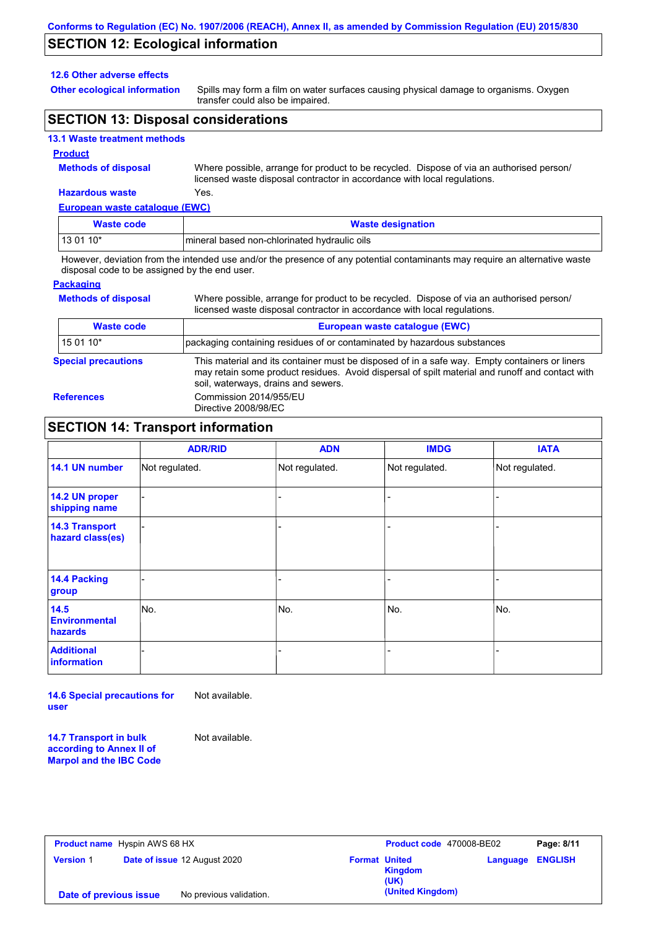## **SECTION 12: Ecological information**

#### **12.6 Other adverse effects**

**Other ecological information**

Spills may form a film on water surfaces causing physical damage to organisms. Oxygen transfer could also be impaired.

## **SECTION 13: Disposal considerations**

## **13.1 Waste treatment methods**

#### **Product**

**Methods of disposal**

Where possible, arrange for product to be recycled. Dispose of via an authorised person/ licensed waste disposal contractor in accordance with local regulations.

Where possible, arrange for product to be recycled. Dispose of via an authorised person/

## **Hazardous waste** Yes.

| European waste catalogue (EWC) |                                              |  |  |  |
|--------------------------------|----------------------------------------------|--|--|--|
| Waste code                     | <b>Waste designation</b>                     |  |  |  |
| $130110*$                      | mineral based non-chlorinated hydraulic oils |  |  |  |

However, deviation from the intended use and/or the presence of any potential contaminants may require an alternative waste disposal code to be assigned by the end user.

## **Packaging**

**Methods of disposal**

|                            | licensed waste disposal contractor in accordance with local regulations.                                                                                                                                                                |  |  |  |  |
|----------------------------|-----------------------------------------------------------------------------------------------------------------------------------------------------------------------------------------------------------------------------------------|--|--|--|--|
| <b>Waste code</b>          | European waste catalogue (EWC)                                                                                                                                                                                                          |  |  |  |  |
| 15 01 10*                  | packaging containing residues of or contaminated by hazardous substances                                                                                                                                                                |  |  |  |  |
| <b>Special precautions</b> | This material and its container must be disposed of in a safe way. Empty containers or liners<br>may retain some product residues. Avoid dispersal of spilt material and runoff and contact with<br>soil, waterways, drains and sewers. |  |  |  |  |
| <b>References</b>          | Commission 2014/955/EU<br>Directive 2008/98/EC                                                                                                                                                                                          |  |  |  |  |

## **SECTION 14: Transport information**

|                                           | <b>ADR/RID</b> | <b>ADN</b>     | <b>IMDG</b>    | <b>IATA</b>    |
|-------------------------------------------|----------------|----------------|----------------|----------------|
| 14.1 UN number                            | Not regulated. | Not regulated. | Not regulated. | Not regulated. |
| 14.2 UN proper<br>shipping name           |                |                |                |                |
| <b>14.3 Transport</b><br>hazard class(es) |                |                |                |                |
| 14.4 Packing<br>group                     |                |                |                |                |
| 14.5<br><b>Environmental</b><br>hazards   | No.            | No.            | No.            | No.            |
| <b>Additional</b><br>information          |                |                |                |                |

**14.6 Special precautions for user** Not available.

**14.7 Transport in bulk according to Annex II of Marpol and the IBC Code** Not available.

| <b>Product name</b> Hyspin AWS 68 HX              |  | Product code 470008-BE02     |                      | Page: 8/11      |                         |  |
|---------------------------------------------------|--|------------------------------|----------------------|-----------------|-------------------------|--|
| <b>Version 1</b>                                  |  | Date of issue 12 August 2020 | <b>Format United</b> | Kingdom<br>(UK) | <b>Language ENGLISH</b> |  |
| No previous validation.<br>Date of previous issue |  | (United Kingdom)             |                      |                 |                         |  |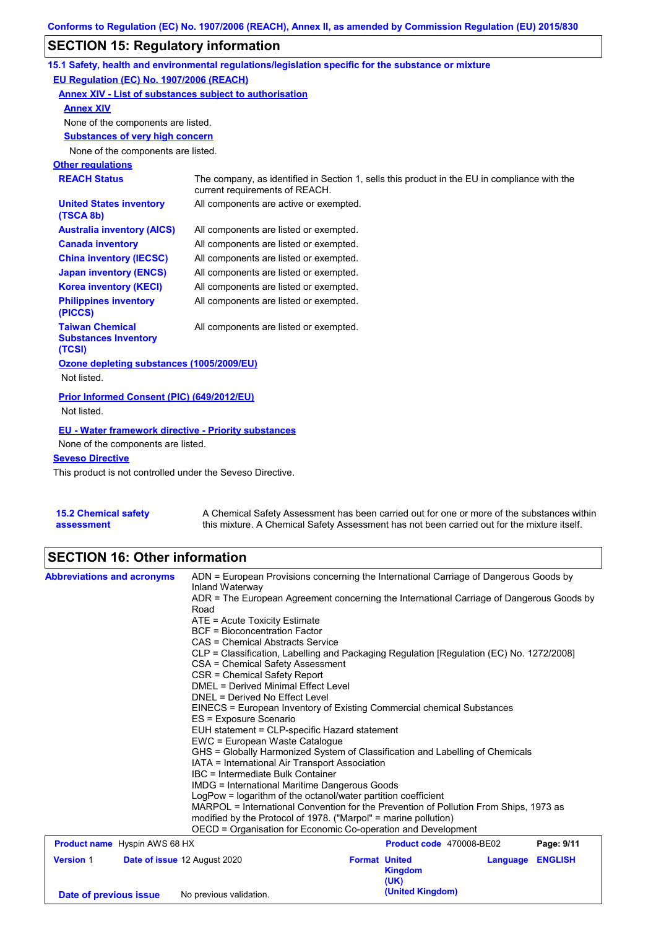# **SECTION 15: Regulatory information**

|                                                                 | 15.1 Safety, health and environmental regulations/legislation specific for the substance or mixture                            |
|-----------------------------------------------------------------|--------------------------------------------------------------------------------------------------------------------------------|
| EU Regulation (EC) No. 1907/2006 (REACH)                        |                                                                                                                                |
| Annex XIV - List of substances subject to authorisation         |                                                                                                                                |
| <b>Annex XIV</b>                                                |                                                                                                                                |
| None of the components are listed.                              |                                                                                                                                |
| <b>Substances of very high concern</b>                          |                                                                                                                                |
| None of the components are listed.                              |                                                                                                                                |
| <b>Other regulations</b>                                        |                                                                                                                                |
| <b>REACH Status</b>                                             | The company, as identified in Section 1, sells this product in the EU in compliance with the<br>current requirements of REACH. |
| <b>United States inventory</b><br>(TSCA 8b)                     | All components are active or exempted.                                                                                         |
| <b>Australia inventory (AICS)</b>                               | All components are listed or exempted.                                                                                         |
| <b>Canada inventory</b>                                         | All components are listed or exempted.                                                                                         |
| <b>China inventory (IECSC)</b>                                  | All components are listed or exempted.                                                                                         |
| <b>Japan inventory (ENCS)</b>                                   | All components are listed or exempted.                                                                                         |
| <b>Korea inventory (KECI)</b>                                   | All components are listed or exempted.                                                                                         |
| <b>Philippines inventory</b><br>(PICCS)                         | All components are listed or exempted.                                                                                         |
| <b>Taiwan Chemical</b><br><b>Substances Inventory</b><br>(TCSI) | All components are listed or exempted.                                                                                         |
| Ozone depleting substances (1005/2009/EU)                       |                                                                                                                                |
| Not listed.                                                     |                                                                                                                                |
| Prior Informed Consent (PIC) (649/2012/EU)                      |                                                                                                                                |
| Not listed.                                                     |                                                                                                                                |
| <b>EU - Water framework directive - Priority substances</b>     |                                                                                                                                |
| None of the components are listed.                              |                                                                                                                                |
| <b>Seveso Directive</b>                                         |                                                                                                                                |
|                                                                 |                                                                                                                                |

This product is not controlled under the Seveso Directive.

| 15.2 Chemical safety | A Chemical Safety Assessment has been carried out for one or more of the substances within  |
|----------------------|---------------------------------------------------------------------------------------------|
| assessment           | this mixture. A Chemical Safety Assessment has not been carried out for the mixture itself. |

# **SECTION 16: Other information**

| <b>Abbreviations and acronyms</b>                                | ADN = European Provisions concerning the International Carriage of Dangerous Goods by                                                                                                                          |                                                                                          |          |                |  |  |  |
|------------------------------------------------------------------|----------------------------------------------------------------------------------------------------------------------------------------------------------------------------------------------------------------|------------------------------------------------------------------------------------------|----------|----------------|--|--|--|
|                                                                  | Inland Waterway                                                                                                                                                                                                |                                                                                          |          |                |  |  |  |
|                                                                  | ADR = The European Agreement concerning the International Carriage of Dangerous Goods by                                                                                                                       |                                                                                          |          |                |  |  |  |
|                                                                  |                                                                                                                                                                                                                | Road                                                                                     |          |                |  |  |  |
|                                                                  |                                                                                                                                                                                                                | ATE = Acute Toxicity Estimate<br><b>BCF</b> = Bioconcentration Factor                    |          |                |  |  |  |
|                                                                  | CAS = Chemical Abstracts Service                                                                                                                                                                               |                                                                                          |          |                |  |  |  |
|                                                                  |                                                                                                                                                                                                                | CLP = Classification, Labelling and Packaging Regulation [Regulation (EC) No. 1272/2008] |          |                |  |  |  |
|                                                                  | CSA = Chemical Safety Assessment                                                                                                                                                                               |                                                                                          |          |                |  |  |  |
|                                                                  | CSR = Chemical Safety Report                                                                                                                                                                                   |                                                                                          |          |                |  |  |  |
|                                                                  | DMEL = Derived Minimal Effect Level                                                                                                                                                                            |                                                                                          |          |                |  |  |  |
|                                                                  | DNEL = Derived No Effect Level                                                                                                                                                                                 |                                                                                          |          |                |  |  |  |
|                                                                  | EINECS = European Inventory of Existing Commercial chemical Substances<br>ES = Exposure Scenario                                                                                                               |                                                                                          |          |                |  |  |  |
|                                                                  |                                                                                                                                                                                                                |                                                                                          |          |                |  |  |  |
|                                                                  | EUH statement = CLP-specific Hazard statement                                                                                                                                                                  |                                                                                          |          |                |  |  |  |
|                                                                  | EWC = European Waste Cataloque                                                                                                                                                                                 |                                                                                          |          |                |  |  |  |
|                                                                  | GHS = Globally Harmonized System of Classification and Labelling of Chemicals                                                                                                                                  |                                                                                          |          |                |  |  |  |
|                                                                  | IATA = International Air Transport Association                                                                                                                                                                 |                                                                                          |          |                |  |  |  |
|                                                                  |                                                                                                                                                                                                                | IBC = Intermediate Bulk Container                                                        |          |                |  |  |  |
|                                                                  | <b>IMDG = International Maritime Dangerous Goods</b><br>LogPow = logarithm of the octanol/water partition coefficient<br>MARPOL = International Convention for the Prevention of Pollution From Ships, 1973 as |                                                                                          |          |                |  |  |  |
|                                                                  |                                                                                                                                                                                                                |                                                                                          |          |                |  |  |  |
|                                                                  | modified by the Protocol of 1978. ("Marpol" = marine pollution)                                                                                                                                                |                                                                                          |          |                |  |  |  |
|                                                                  | OECD = Organisation for Economic Co-operation and Development                                                                                                                                                  |                                                                                          |          |                |  |  |  |
| <b>Product name</b> Hyspin AWS 68 HX<br>Product code 470008-BE02 |                                                                                                                                                                                                                | Page: 9/11                                                                               |          |                |  |  |  |
| <b>Version 1</b>                                                 | Date of issue 12 August 2020                                                                                                                                                                                   | <b>Format United</b>                                                                     | Language | <b>ENGLISH</b> |  |  |  |
|                                                                  |                                                                                                                                                                                                                | <b>Kingdom</b>                                                                           |          |                |  |  |  |
|                                                                  |                                                                                                                                                                                                                | (UK)                                                                                     |          |                |  |  |  |
| Date of previous issue                                           | No previous validation.                                                                                                                                                                                        | (United Kingdom)                                                                         |          |                |  |  |  |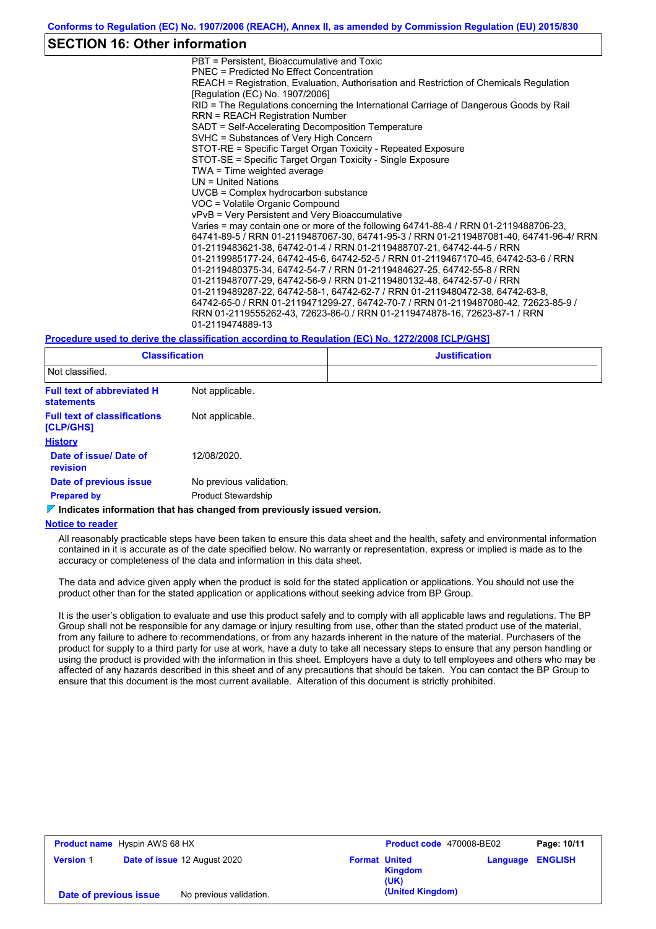## **SECTION 16: Other information**

PBT = Persistent, Bioaccumulative and Toxic PNEC = Predicted No Effect Concentration REACH = Registration, Evaluation, Authorisation and Restriction of Chemicals Regulation [Regulation (EC) No. 1907/2006] RID = The Regulations concerning the International Carriage of Dangerous Goods by Rail RRN = REACH Registration Number SADT = Self-Accelerating Decomposition Temperature SVHC = Substances of Very High Concern STOT-RE = Specific Target Organ Toxicity - Repeated Exposure STOT-SE = Specific Target Organ Toxicity - Single Exposure TWA = Time weighted average UN = United Nations UVCB = Complex hydrocarbon substance VOC = Volatile Organic Compound vPvB = Very Persistent and Very Bioaccumulative Varies = may contain one or more of the following 64741-88-4 / RRN 01-2119488706-23, 64741-89-5 / RRN 01-2119487067-30, 64741-95-3 / RRN 01-2119487081-40, 64741-96-4/ RRN 01-2119483621-38, 64742-01-4 / RRN 01-2119488707-21, 64742-44-5 / RRN 01-2119985177-24, 64742-45-6, 64742-52-5 / RRN 01-2119467170-45, 64742-53-6 / RRN 01-2119480375-34, 64742-54-7 / RRN 01-2119484627-25, 64742-55-8 / RRN 01-2119487077-29, 64742-56-9 / RRN 01-2119480132-48, 64742-57-0 / RRN 01-2119489287-22, 64742-58-1, 64742-62-7 / RRN 01-2119480472-38, 64742-63-8, 64742-65-0 / RRN 01-2119471299-27, 64742-70-7 / RRN 01-2119487080-42, 72623-85-9 / RRN 01-2119555262-43, 72623-86-0 / RRN 01-2119474878-16, 72623-87-1 / RRN 01-2119474889-13

#### **Procedure used to derive the classification according to Regulation (EC) No. 1272/2008 [CLP/GHS]**

| <b>Classification</b>                                  |                            | <b>Justification</b> |  |  |
|--------------------------------------------------------|----------------------------|----------------------|--|--|
| Not classified.                                        |                            |                      |  |  |
| <b>Full text of abbreviated H</b><br><b>statements</b> | Not applicable.            |                      |  |  |
| <b>Full text of classifications</b><br>[CLP/GHS]       | Not applicable.            |                      |  |  |
| <b>History</b>                                         |                            |                      |  |  |
| Date of issue/ Date of<br>revision                     | 12/08/2020.                |                      |  |  |
| Date of previous issue                                 | No previous validation.    |                      |  |  |
| <b>Prepared by</b>                                     | <b>Product Stewardship</b> |                      |  |  |

**Indicates information that has changed from previously issued version.**

#### **Notice to reader**

All reasonably practicable steps have been taken to ensure this data sheet and the health, safety and environmental information contained in it is accurate as of the date specified below. No warranty or representation, express or implied is made as to the accuracy or completeness of the data and information in this data sheet.

The data and advice given apply when the product is sold for the stated application or applications. You should not use the product other than for the stated application or applications without seeking advice from BP Group.

It is the user's obligation to evaluate and use this product safely and to comply with all applicable laws and regulations. The BP Group shall not be responsible for any damage or injury resulting from use, other than the stated product use of the material, from any failure to adhere to recommendations, or from any hazards inherent in the nature of the material. Purchasers of the product for supply to a third party for use at work, have a duty to take all necessary steps to ensure that any person handling or using the product is provided with the information in this sheet. Employers have a duty to tell employees and others who may be affected of any hazards described in this sheet and of any precautions that should be taken. You can contact the BP Group to ensure that this document is the most current available. Alteration of this document is strictly prohibited.

| <b>Product name</b> Hyspin AWS 68 HX |  | Product code 470008-BE02     |                      | Page: 10/11            |          |                |
|--------------------------------------|--|------------------------------|----------------------|------------------------|----------|----------------|
| <b>Version 1</b>                     |  | Date of issue 12 August 2020 | <b>Format United</b> | <b>Kingdom</b><br>(UK) | Language | <b>ENGLISH</b> |
| Date of previous issue               |  | No previous validation.      |                      | (United Kingdom)       |          |                |